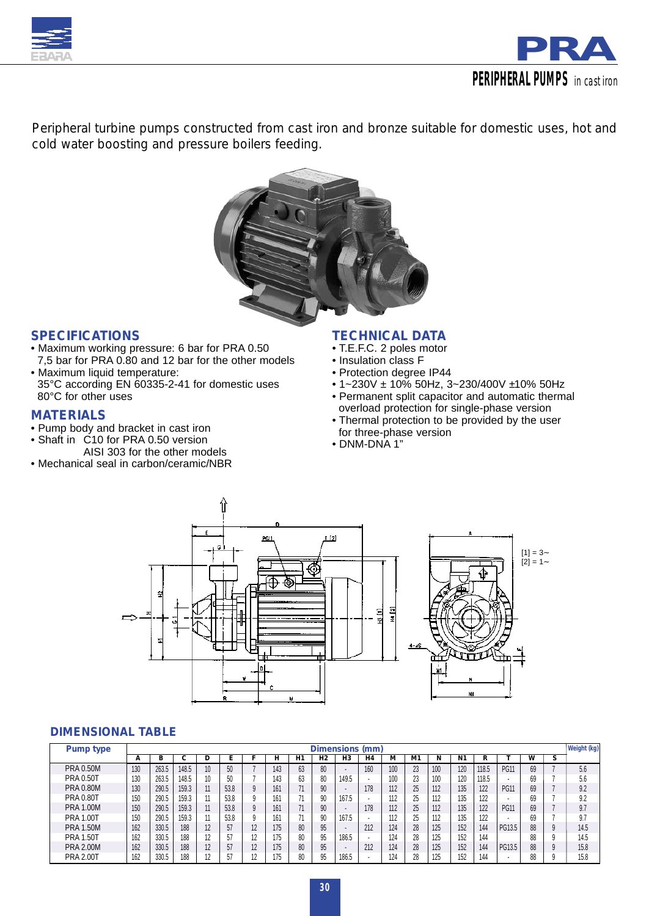



*Peripheral turbine pumps constructed from cast iron and bronze suitable for domestic uses, hot and cold water boosting and pressure boilers feeding.*



## *SPECIFICATIONS*

- Maximum working pressure: 6 bar for PRA 0.50 7,5 bar for PRA 0.80 and 12 bar for the other models
- Maximum liquid temperature: 35°C according EN 60335-2-41 for domestic uses 80°C for other uses

## *MATERIALS*

- Pump body and bracket in cast iron
- Shaft in C10 for PRA 0.50 version AISI 303 for the other models
- Mechanical seal in carbon/ceramic/NBR

## *TECHNICAL DATA*

- T.E.F.C. 2 poles motor
- Insulation class F
- Protection degree IP44
- 1~230V ± 10% 50Hz, 3~230/400V ±10% 50Hz
- Permanent split capacitor and automatic thermal overload protection for single-phase version
- Thermal protection to be provided by the user for three-phase version
- DNM-DNA 1"



#### *DIMENSIONAL TABLE*

| Pump type        | Dimensions (mm) |       |       |    |      |    |     |    |                |                |                          |     |    |     | Weight (kg) |       |             |    |   |      |
|------------------|-----------------|-------|-------|----|------|----|-----|----|----------------|----------------|--------------------------|-----|----|-----|-------------|-------|-------------|----|---|------|
|                  | А               | в     | U     | υ  |      |    | н   | H1 | H <sub>2</sub> | H <sub>3</sub> | H <sub>4</sub>           | м   | M1 | N   | N1          | R     |             | w  | s |      |
| <b>PRA 0.50M</b> | 130             | 263.5 | 148.5 | ιv | 50   |    | 143 | 63 | 80             | ٠              | 160                      | 100 | 23 | 100 | 120         | 118.5 | <b>PG11</b> | 69 |   | 5.6  |
| <b>PRA 0.50T</b> | 130             | 263.5 | 148.5 |    | 50   |    | 143 | 63 | 80             | 149.5          |                          | 100 | 23 | 100 | 120         | 118.5 |             | 69 |   | 5.6  |
| <b>PRA 0.80M</b> | 130             | 290.5 | 159.3 |    | 53.8 |    | 161 | 71 | 90             |                | 178                      | 112 | 25 | 112 | 135         | 122   | <b>PG11</b> | 69 |   | 9.2  |
| <b>PRA 0.80T</b> | 150             | 290.5 | 159.3 |    | 53.8 |    | 161 | 71 | 90             | 167.5          | $\overline{\phantom{a}}$ | 112 | 25 | 112 | 135         | 122   |             | 69 |   | 9.2  |
| <b>PRA 1.00M</b> | 150             | 290.5 | 159.3 | 11 | 53.8 |    | 161 | 71 | 90             | ۰              | 178                      | 112 | 25 | 112 | 135         | 122   | <b>PG11</b> | 69 |   | 9.7  |
| <b>PRA 1.00T</b> | 150             | 290.5 | 159.3 |    | 53.8 |    | 161 | 71 | 90             | 167.5          |                          | 112 | 25 | 112 | 135         | 122   |             | 69 |   | 9.7  |
| <b>PRA 1.50M</b> | 162             | 330.5 | 188   |    | 57   | 12 | 175 | 80 | 95             |                | 212                      | 124 | 28 | 125 | 152         | 144   | PG13.5      | 88 |   | 14.5 |
| <b>PRA 1.50T</b> | 162             | 330.5 | 188   |    | 57   | 12 | 175 | 80 | 95             | 186.5          |                          | 124 | 28 | 125 | 152         | 144   |             | 88 |   | 14.5 |
| <b>PRA 2.00M</b> | 162             | 330.5 | 188   |    | 57   | 12 | 175 | 80 | 95             | ۰              | 212                      | 124 | 28 | 125 | 152         | 144   | PG13.5      | 88 |   | 15.8 |
| <b>PRA 2.00T</b> | 162             | 330.5 | 188   |    | 57   | 12 | 175 | 80 | 95             | 186.5          |                          | 124 | 28 | 125 | 152         | 144   |             | 88 |   | 15.8 |